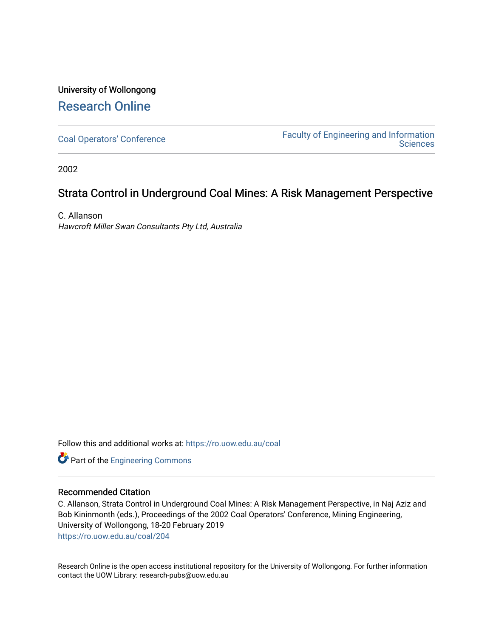# University of Wollongong [Research Online](https://ro.uow.edu.au/)

[Coal Operators' Conference](https://ro.uow.edu.au/coal) [Faculty of Engineering and Information](https://ro.uow.edu.au/eis)  **Sciences** 

2002

# Strata Control in Underground Coal Mines: A Risk Management Perspective

C. Allanson Hawcroft Miller Swan Consultants Pty Ltd, Australia

Follow this and additional works at: [https://ro.uow.edu.au/coal](https://ro.uow.edu.au/coal?utm_source=ro.uow.edu.au%2Fcoal%2F204&utm_medium=PDF&utm_campaign=PDFCoverPages) 

Part of the [Engineering Commons](http://network.bepress.com/hgg/discipline/217?utm_source=ro.uow.edu.au%2Fcoal%2F204&utm_medium=PDF&utm_campaign=PDFCoverPages)

# Recommended Citation

C. Allanson, Strata Control in Underground Coal Mines: A Risk Management Perspective, in Naj Aziz and Bob Kininmonth (eds.), Proceedings of the 2002 Coal Operators' Conference, Mining Engineering, University of Wollongong, 18-20 February 2019 [https://ro.uow.edu.au/coal/204](https://ro.uow.edu.au/coal/204?utm_source=ro.uow.edu.au%2Fcoal%2F204&utm_medium=PDF&utm_campaign=PDFCoverPages) 

Research Online is the open access institutional repository for the University of Wollongong. For further information contact the UOW Library: research-pubs@uow.edu.au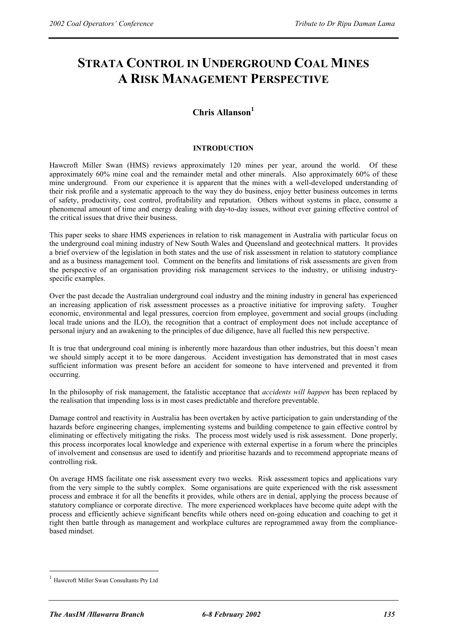# **STRATA CONTROL IN UNDERGROUND COAL MINES A RISK MANAGEMENT PERSPECTIVE**

# **Chris Allanson1**

# **INTRODUCTION**

Hawcroft Miller Swan (HMS) reviews approximately 120 mines per year, around the world. Of these approximately 60% mine coal and the remainder metal and other minerals. Also approximately 60% of these mine underground. From our experience it is apparent that the mines with a well-developed understanding of their risk profile and a systematic approach to the way they do business, enjoy better business outcomes in terms of safety, productivity, cost control, profitability and reputation. Others without systems in place, consume a phenomenal amount of time and energy dealing with day-to-day issues, without ever gaining effective control of the critical issues that drive their business.

This paper seeks to share HMS experiences in relation to risk management in Australia with particular focus on the underground coal mining industry of New South Wales and Queensland and geotechnical matters. It provides a brief overview of the legislation in both states and the use of risk assessment in relation to statutory compliance and as a business management tool. Comment on the benefits and limitations of risk assessments are given from the perspective of an organisation providing risk management services to the industry, or utilising industryspecific examples.

Over the past decade the Australian underground coal industry and the mining industry in general has experienced an increasing application of risk assessment processes as a proactive initiative for improving safety. Tougher economic, environmental and legal pressures, coercion from employee, government and social groups (including local trade unions and the ILO), the recognition that a contract of employment does not include acceptance of personal injury and an awakening to the principles of due diligence, have all fuelled this new perspective.

It is true that underground coal mining is inherently more hazardous than other industries, but this doesn't mean we should simply accept it to be more dangerous. Accident investigation has demonstrated that in most cases sufficient information was present before an accident for someone to have intervened and prevented it from occurring.

In the philosophy of risk management, the fatalistic acceptance that *accidents will happen* has been replaced by the realisation that impending loss is in most cases predictable and therefore preventable.

Damage control and reactivity in Australia has been overtaken by active participation to gain understanding of the hazards before engineering changes, implementing systems and building competence to gain effective control by eliminating or effectively mitigating the risks. The process most widely used is risk assessment. Done properly, this process incorporates local knowledge and experience with external expertise in a forum where the principles of involvement and consensus are used to identify and prioritise hazards and to recommend appropriate means of controlling risk.

On average HMS facilitate one risk assessment every two weeks. Risk assessment topics and applications vary from the very simple to the subtly complex. Some organisations are quite experienced with the risk assessment process and embrace it for all the benefits it provides, while others are in denial, applying the process because of statutory compliance or corporate directive. The more experienced workplaces have become quite adept with the process and efficiently achieve significant benefits while others need on-going education and coaching to get it right then battle through as management and workplace cultures are reprogrammed away from the compliancebased mindset.

 $\overline{a}$ 

<sup>1</sup> Hawcroft Miller Swan Consultants Pty Ltd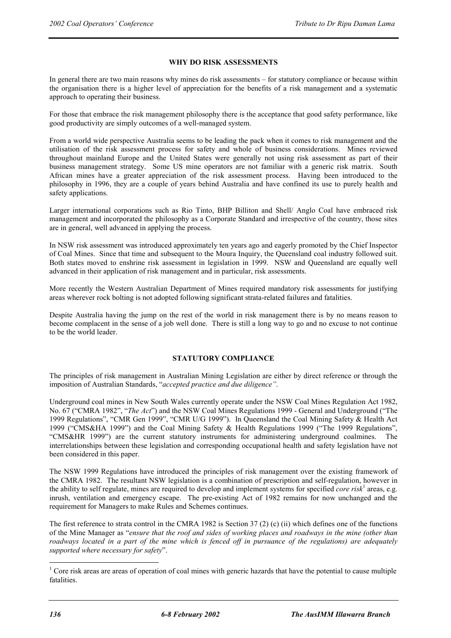# **WHY DO RISK ASSESSMENTS**

In general there are two main reasons why mines do risk assessments – for statutory compliance or because within the organisation there is a higher level of appreciation for the benefits of a risk management and a systematic approach to operating their business.

For those that embrace the risk management philosophy there is the acceptance that good safety performance, like good productivity are simply outcomes of a well-managed system.

From a world wide perspective Australia seems to be leading the pack when it comes to risk management and the utilisation of the risk assessment process for safety and whole of business considerations. Mines reviewed throughout mainland Europe and the United States were generally not using risk assessment as part of their business management strategy. Some US mine operators are not familiar with a generic risk matrix. South African mines have a greater appreciation of the risk assessment process. Having been introduced to the philosophy in 1996, they are a couple of years behind Australia and have confined its use to purely health and safety applications.

Larger international corporations such as Rio Tinto, BHP Billiton and Shell/ Anglo Coal have embraced risk management and incorporated the philosophy as a Corporate Standard and irrespective of the country, those sites are in general, well advanced in applying the process.

In NSW risk assessment was introduced approximately ten years ago and eagerly promoted by the Chief Inspector of Coal Mines. Since that time and subsequent to the Moura Inquiry, the Queensland coal industry followed suit. Both states moved to enshrine risk assessment in legislation in 1999. NSW and Queensland are equally well advanced in their application of risk management and in particular, risk assessments.

More recently the Western Australian Department of Mines required mandatory risk assessments for justifying areas wherever rock bolting is not adopted following significant strata-related failures and fatalities.

Despite Australia having the jump on the rest of the world in risk management there is by no means reason to become complacent in the sense of a job well done. There is still a long way to go and no excuse to not continue to be the world leader.

#### **STATUTORY COMPLIANCE**

The principles of risk management in Australian Mining Legislation are either by direct reference or through the imposition of Australian Standards, "*accepted practice and due diligence"*.

Underground coal mines in New South Wales currently operate under the NSW Coal Mines Regulation Act 1982, No. 67 ("CMRA 1982", "*The Act*") and the NSW Coal Mines Regulations 1999 - General and Underground ("The 1999 Regulations", "CMR Gen 1999", "CMR U/G 1999"). In Queensland the Coal Mining Safety & Health Act 1999 ("CMS&HA 1999") and the Coal Mining Safety & Health Regulations 1999 ("The 1999 Regulations", "CMS&HR 1999") are the current statutory instruments for administering underground coalmines. The interrelationships between these legislation and corresponding occupational health and safety legislation have not been considered in this paper.

The NSW 1999 Regulations have introduced the principles of risk management over the existing framework of the CMRA 1982. The resultant NSW legislation is a combination of prescription and self-regulation, however in the ability to self regulate, mines are required to develop and implement systems for specified *core risk*<sup>1</sup> areas, e.g. inrush, ventilation and emergency escape. The pre-existing Act of 1982 remains for now unchanged and the requirement for Managers to make Rules and Schemes continues.

The first reference to strata control in the CMRA 1982 is Section 37 (2) (c) (ii) which defines one of the functions of the Mine Manager as "*ensure that the roof and sides of working places and roadways in the mine (other than roadways located in a part of the mine which is fenced off in pursuance of the regulations) are adequately supported where necessary for safety*".

 $\overline{a}$ 

 $1$  Core risk areas are areas of operation of coal mines with generic hazards that have the potential to cause multiple fatalities.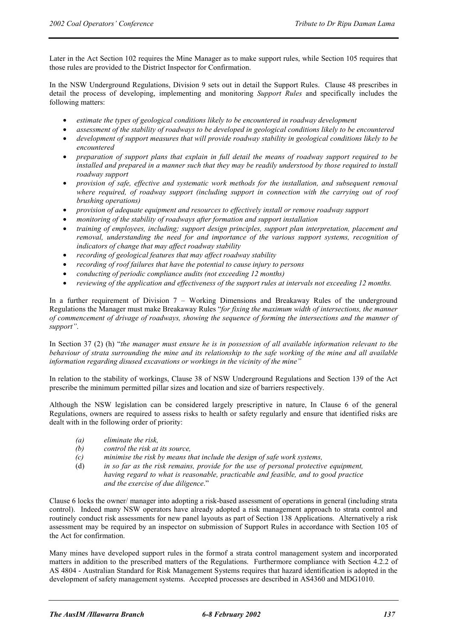Later in the Act Section 102 requires the Mine Manager as to make support rules, while Section 105 requires that those rules are provided to the District Inspector for Confirmation.

In the NSW Underground Regulations, Division 9 sets out in detail the Support Rules. Clause 48 prescribes in detail the process of developing, implementing and monitoring *Support Rules* and specifically includes the following matters:

- *estimate the types of geological conditions likely to be encountered in roadway development*
- *assessment of the stability of roadways to be developed in geological conditions likely to be encountered*
- *development of support measures that will provide roadway stability in geological conditions likely to be encountered*
- *preparation of support plans that explain in full detail the means of roadway support required to be installed and prepared in a manner such that they may be readily understood by those required to install roadway support*
- *provision of safe, effective and systematic work methods for the installation, and subsequent removal where required, of roadway support (including support in connection with the carrying out of roof brushing operations)*
- *provision of adequate equipment and resources to effectively install or remove roadway support*
- *monitoring of the stability of roadways after formation and support installation*
- *training of employees, including; support design principles, support plan interpretation, placement and removal, understanding the need for and importance of the various support systems, recognition of indicators of change that may affect roadway stability*
- *recording of geological features that may affect roadway stability*
- *recording of roof failures that have the potential to cause injury to persons*
- *conducting of periodic compliance audits (not exceeding 12 months)*
- *reviewing of the application and effectiveness of the support rules at intervals not exceeding 12 months.*

In a further requirement of Division 7 – Working Dimensions and Breakaway Rules of the underground Regulations the Manager must make Breakaway Rules "*for fixing the maximum width of intersections, the manner of commencement of drivage of roadways, showing the sequence of forming the intersections and the manner of support"*.

In Section 37 (2) (h) "*the manager must ensure he is in possession of all available information relevant to the behaviour of strata surrounding the mine and its relationship to the safe working of the mine and all available information regarding disused excavations or workings in the vicinity of the mine"*

In relation to the stability of workings, Clause 38 of NSW Underground Regulations and Section 139 of the Act prescribe the minimum permitted pillar sizes and location and size of barriers respectively.

Although the NSW legislation can be considered largely prescriptive in nature, In Clause 6 of the general Regulations, owners are required to assess risks to health or safety regularly and ensure that identified risks are dealt with in the following order of priority:

- *(a) eliminate the risk,*
- *(b) control the risk at its source,*
- *(c) minimise the risk by means that include the design of safe work systems,*
- (d) *in so far as the risk remains, provide for the use of personal protective equipment, having regard to what is reasonable, practicable and feasible, and to good practice and the exercise of due diligence*."

Clause 6 locks the owner/ manager into adopting a risk-based assessment of operations in general (including strata control). Indeed many NSW operators have already adopted a risk management approach to strata control and routinely conduct risk assessments for new panel layouts as part of Section 138 Applications. Alternatively a risk assessment may be required by an inspector on submission of Support Rules in accordance with Section 105 of the Act for confirmation.

Many mines have developed support rules in the formof a strata control management system and incorporated matters in addition to the prescribed matters of the Regulations. Furthermore compliance with Section 4.2.2 of AS 4804 - Australian Standard for Risk Management Systems requires that hazard identification is adopted in the development of safety management systems. Accepted processes are described in AS4360 and MDG1010.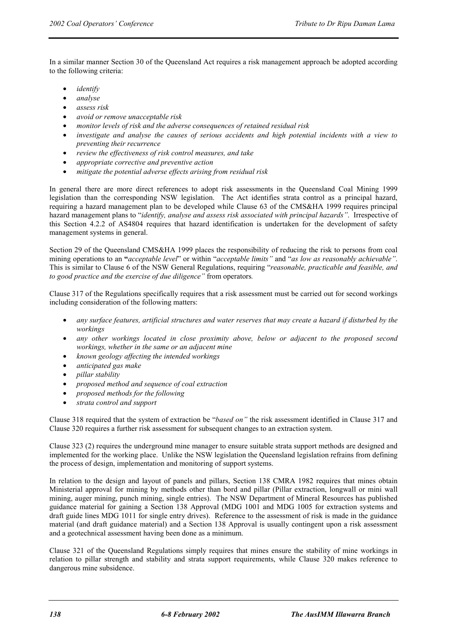In a similar manner Section 30 of the Queensland Act requires a risk management approach be adopted according to the following criteria:

- *identify*
- *analyse*
- *assess risk*
- *avoid or remove unacceptable risk*
- *monitor levels of risk and the adverse consequences of retained residual risk*
- *investigate and analyse the causes of serious accidents and high potential incidents with a view to preventing their recurrence*
- *review the effectiveness of risk control measures, and take*
- *appropriate corrective and preventive action*
- *mitigate the potential adverse effects arising from residual risk*

In general there are more direct references to adopt risk assessments in the Queensland Coal Mining 1999 legislation than the corresponding NSW legislation. The Act identifies strata control as a principal hazard, requiring a hazard management plan to be developed while Clause 63 of the CMS&HA 1999 requires principal hazard management plans to "*identify, analyse and assess risk associated with principal hazards"*. Irrespective of this Section 4.2.2 of AS4804 requires that hazard identification is undertaken for the development of safety management systems in general.

Section 29 of the Queensland CMS&HA 1999 places the responsibility of reducing the risk to persons from coal mining operations to an **"***acceptable level*" or within "*acceptable limits"* and "*as low as reasonably achievable"*. This is similar to Clause 6 of the NSW General Regulations, requiring "*reasonable, practicable and feasible, and to good practice and the exercise of due diligence"* from operators*.*

Clause 317 of the Regulations specifically requires that a risk assessment must be carried out for second workings including consideration of the following matters:

- *any surface features, artificial structures and water reserves that may create a hazard if disturbed by the workings*
- *any other workings located in close proximity above, below or adjacent to the proposed second workings, whether in the same or an adjacent mine*
- *known geology affecting the intended workings*
- *anticipated gas make*
- *pillar stability*
- *proposed method and sequence of coal extraction*
- *proposed methods for the following*
- *strata control and support*

Clause 318 required that the system of extraction be "*based on"* the risk assessment identified in Clause 317 and Clause 320 requires a further risk assessment for subsequent changes to an extraction system.

Clause 323 (2) requires the underground mine manager to ensure suitable strata support methods are designed and implemented for the working place. Unlike the NSW legislation the Queensland legislation refrains from defining the process of design, implementation and monitoring of support systems.

In relation to the design and layout of panels and pillars, Section 138 CMRA 1982 requires that mines obtain Ministerial approval for mining by methods other than bord and pillar (Pillar extraction, longwall or mini wall mining, auger mining, punch mining, single entries). The NSW Department of Mineral Resources has published guidance material for gaining a Section 138 Approval (MDG 1001 and MDG 1005 for extraction systems and draft guide lines MDG 1011 for single entry drives). Reference to the assessment of risk is made in the guidance material (and draft guidance material) and a Section 138 Approval is usually contingent upon a risk assessment and a geotechnical assessment having been done as a minimum.

Clause 321 of the Queensland Regulations simply requires that mines ensure the stability of mine workings in relation to pillar strength and stability and strata support requirements, while Clause 320 makes reference to dangerous mine subsidence.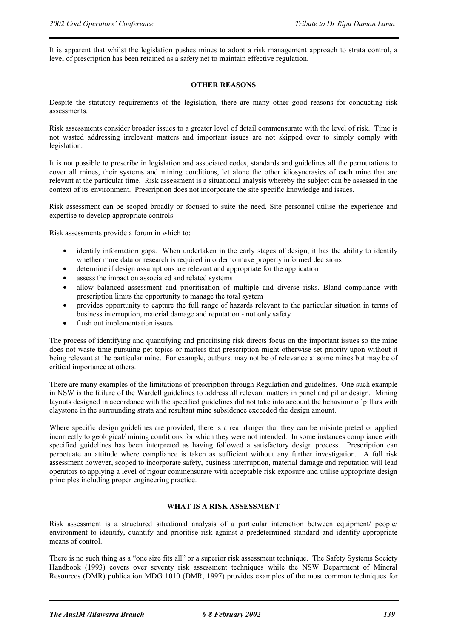It is apparent that whilst the legislation pushes mines to adopt a risk management approach to strata control, a level of prescription has been retained as a safety net to maintain effective regulation.

#### **OTHER REASONS**

Despite the statutory requirements of the legislation, there are many other good reasons for conducting risk assessments.

Risk assessments consider broader issues to a greater level of detail commensurate with the level of risk. Time is not wasted addressing irrelevant matters and important issues are not skipped over to simply comply with legislation.

It is not possible to prescribe in legislation and associated codes, standards and guidelines all the permutations to cover all mines, their systems and mining conditions, let alone the other idiosyncrasies of each mine that are relevant at the particular time. Risk assessment is a situational analysis whereby the subject can be assessed in the context of its environment. Prescription does not incorporate the site specific knowledge and issues.

Risk assessment can be scoped broadly or focused to suite the need. Site personnel utilise the experience and expertise to develop appropriate controls.

Risk assessments provide a forum in which to:

- identify information gaps. When undertaken in the early stages of design, it has the ability to identify whether more data or research is required in order to make properly informed decisions
- determine if design assumptions are relevant and appropriate for the application
- assess the impact on associated and related systems
- allow balanced assessment and prioritisation of multiple and diverse risks. Bland compliance with prescription limits the opportunity to manage the total system
- provides opportunity to capture the full range of hazards relevant to the particular situation in terms of business interruption, material damage and reputation - not only safety
- flush out implementation issues

The process of identifying and quantifying and prioritising risk directs focus on the important issues so the mine does not waste time pursuing pet topics or matters that prescription might otherwise set priority upon without it being relevant at the particular mine. For example, outburst may not be of relevance at some mines but may be of critical importance at others.

There are many examples of the limitations of prescription through Regulation and guidelines. One such example in NSW is the failure of the Wardell guidelines to address all relevant matters in panel and pillar design. Mining layouts designed in accordance with the specified guidelines did not take into account the behaviour of pillars with claystone in the surrounding strata and resultant mine subsidence exceeded the design amount.

Where specific design guidelines are provided, there is a real danger that they can be misinterpreted or applied incorrectly to geological/ mining conditions for which they were not intended. In some instances compliance with specified guidelines has been interpreted as having followed a satisfactory design process. Prescription can perpetuate an attitude where compliance is taken as sufficient without any further investigation. A full risk assessment however, scoped to incorporate safety, business interruption, material damage and reputation will lead operators to applying a level of rigour commensurate with acceptable risk exposure and utilise appropriate design principles including proper engineering practice.

# **WHAT IS A RISK ASSESSMENT**

Risk assessment is a structured situational analysis of a particular interaction between equipment/ people/ environment to identify, quantify and prioritise risk against a predetermined standard and identify appropriate means of control.

There is no such thing as a "one size fits all" or a superior risk assessment technique. The Safety Systems Society Handbook (1993) covers over seventy risk assessment techniques while the NSW Department of Mineral Resources (DMR) publication MDG 1010 (DMR, 1997) provides examples of the most common techniques for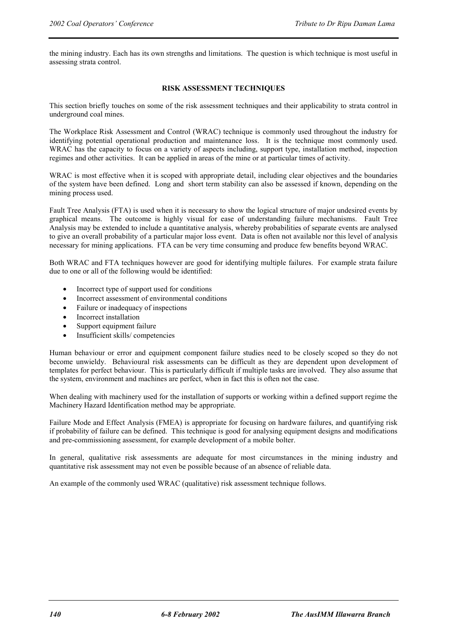the mining industry. Each has its own strengths and limitations. The question is which technique is most useful in assessing strata control.

# **RISK ASSESSMENT TECHNIQUES**

This section briefly touches on some of the risk assessment techniques and their applicability to strata control in underground coal mines.

The Workplace Risk Assessment and Control (WRAC) technique is commonly used throughout the industry for identifying potential operational production and maintenance loss. It is the technique most commonly used. WRAC has the capacity to focus on a variety of aspects including, support type, installation method, inspection regimes and other activities. It can be applied in areas of the mine or at particular times of activity.

WRAC is most effective when it is scoped with appropriate detail, including clear objectives and the boundaries of the system have been defined. Long and short term stability can also be assessed if known, depending on the mining process used.

Fault Tree Analysis (FTA) is used when it is necessary to show the logical structure of major undesired events by graphical means. The outcome is highly visual for ease of understanding failure mechanisms. Fault Tree Analysis may be extended to include a quantitative analysis, whereby probabilities of separate events are analysed to give an overall probability of a particular major loss event. Data is often not available nor this level of analysis necessary for mining applications. FTA can be very time consuming and produce few benefits beyond WRAC.

Both WRAC and FTA techniques however are good for identifying multiple failures. For example strata failure due to one or all of the following would be identified:

- Incorrect type of support used for conditions
- Incorrect assessment of environmental conditions
- Failure or inadequacy of inspections
- Incorrect installation
- Support equipment failure
- Insufficient skills/ competencies

Human behaviour or error and equipment component failure studies need to be closely scoped so they do not become unwieldy. Behavioural risk assessments can be difficult as they are dependent upon development of templates for perfect behaviour. This is particularly difficult if multiple tasks are involved. They also assume that the system, environment and machines are perfect, when in fact this is often not the case.

When dealing with machinery used for the installation of supports or working within a defined support regime the Machinery Hazard Identification method may be appropriate.

Failure Mode and Effect Analysis (FMEA) is appropriate for focusing on hardware failures, and quantifying risk if probability of failure can be defined. This technique is good for analysing equipment designs and modifications and pre-commissioning assessment, for example development of a mobile bolter.

In general, qualitative risk assessments are adequate for most circumstances in the mining industry and quantitative risk assessment may not even be possible because of an absence of reliable data.

An example of the commonly used WRAC (qualitative) risk assessment technique follows.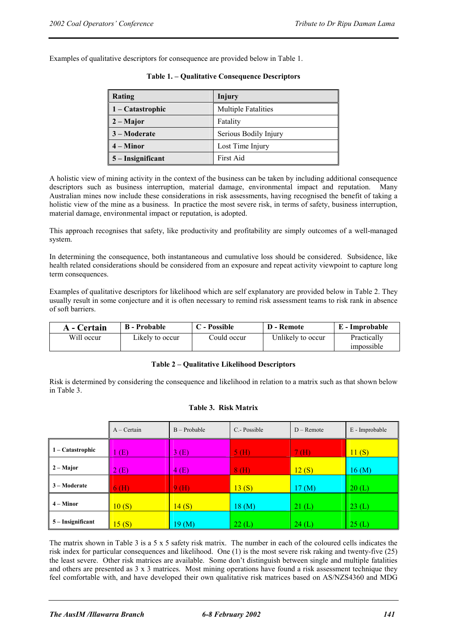Examples of qualitative descriptors for consequence are provided below in Table 1.

| Rating              | Injury                     |
|---------------------|----------------------------|
| $1 -$ Catastrophic  | <b>Multiple Fatalities</b> |
| $2 -$ Major         | Fatality                   |
| 3 – Moderate        | Serious Bodily Injury      |
| $4 -$ Minor         | Lost Time Injury           |
| $5$ – Insignificant | First Aid                  |

A holistic view of mining activity in the context of the business can be taken by including additional consequence descriptors such as business interruption, material damage, environmental impact and reputation. Many Australian mines now include these considerations in risk assessments, having recognised the benefit of taking a holistic view of the mine as a business. In practice the most severe risk, in terms of safety, business interruption, material damage, environmental impact or reputation, is adopted.

This approach recognises that safety, like productivity and profitability are simply outcomes of a well-managed system.

In determining the consequence, both instantaneous and cumulative loss should be considered. Subsidence, like health related considerations should be considered from an exposure and repeat activity viewpoint to capture long term consequences.

Examples of qualitative descriptors for likelihood which are self explanatory are provided below in Table 2. They usually result in some conjecture and it is often necessary to remind risk assessment teams to risk rank in absence of soft barriers.

| A - Certain | <b>B</b> - Probable | C - Possible | D - Remote        | E - Improbable            |
|-------------|---------------------|--------------|-------------------|---------------------------|
| Will occur  | Likely to occur     | Could occur  | Unlikely to occur | Practically<br>impossible |

#### **Table 2 – Qualitative Likelihood Descriptors**

Risk is determined by considering the consequence and likelihood in relation to a matrix such as that shown below in Table 3.

#### **Table 3. Risk Matrix**

|                   | $A -$ Certain | $B - Probable$   | C.-Possible | $D -$ Remote         | E - Improbable |
|-------------------|---------------|------------------|-------------|----------------------|----------------|
| 1 – Catastrophic  | (E)           | 3(E)             | 5(H)        | 7(H)                 | 11(S)          |
| $2 - Major$       | 2(E)          | 4(E)             | 8(H)        | 12(S)                | 16(M)          |
| 3 – Moderate      | 6(H)          | 9(H)             | 13(S)       | $17 \, (\mathrm{M})$ | 20(L)          |
| $4 -$ Minor       | 10(S)         | 14(S)            | 18(M)       | 21(L)                | 23(L)          |
| 5 – Insignificant | 15(S)         | $19 \text{ (M)}$ | 22(L)       | 24(L)                | 25(L)          |

The matrix shown in Table 3 is a  $5 \times 5$  safety risk matrix. The number in each of the coloured cells indicates the risk index for particular consequences and likelihood. One (1) is the most severe risk raking and twenty-five (25) the least severe. Other risk matrices are available. Some don't distinguish between single and multiple fatalities and others are presented as 3 x 3 matrices. Most mining operations have found a risk assessment technique they feel comfortable with, and have developed their own qualitative risk matrices based on AS/NZS4360 and MDG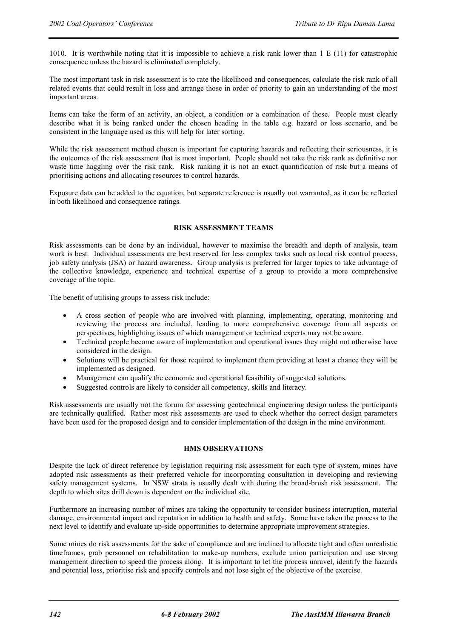1010. It is worthwhile noting that it is impossible to achieve a risk rank lower than 1 E (11) for catastrophic consequence unless the hazard is eliminated completely.

The most important task in risk assessment is to rate the likelihood and consequences, calculate the risk rank of all related events that could result in loss and arrange those in order of priority to gain an understanding of the most important areas.

Items can take the form of an activity, an object, a condition or a combination of these. People must clearly describe what it is being ranked under the chosen heading in the table e.g. hazard or loss scenario, and be consistent in the language used as this will help for later sorting.

While the risk assessment method chosen is important for capturing hazards and reflecting their seriousness, it is the outcomes of the risk assessment that is most important. People should not take the risk rank as definitive nor waste time haggling over the risk rank. Risk ranking it is not an exact quantification of risk but a means of prioritising actions and allocating resources to control hazards.

Exposure data can be added to the equation, but separate reference is usually not warranted, as it can be reflected in both likelihood and consequence ratings.

#### **RISK ASSESSMENT TEAMS**

Risk assessments can be done by an individual, however to maximise the breadth and depth of analysis, team work is best. Individual assessments are best reserved for less complex tasks such as local risk control process, job safety analysis (JSA) or hazard awareness. Group analysis is preferred for larger topics to take advantage of the collective knowledge, experience and technical expertise of a group to provide a more comprehensive coverage of the topic.

The benefit of utilising groups to assess risk include:

- A cross section of people who are involved with planning, implementing, operating, monitoring and reviewing the process are included, leading to more comprehensive coverage from all aspects or perspectives, highlighting issues of which management or technical experts may not be aware.
- Technical people become aware of implementation and operational issues they might not otherwise have considered in the design.
- Solutions will be practical for those required to implement them providing at least a chance they will be implemented as designed.
- Management can qualify the economic and operational feasibility of suggested solutions.
- Suggested controls are likely to consider all competency, skills and literacy.

Risk assessments are usually not the forum for assessing geotechnical engineering design unless the participants are technically qualified. Rather most risk assessments are used to check whether the correct design parameters have been used for the proposed design and to consider implementation of the design in the mine environment.

#### **HMS OBSERVATIONS**

Despite the lack of direct reference by legislation requiring risk assessment for each type of system, mines have adopted risk assessments as their preferred vehicle for incorporating consultation in developing and reviewing safety management systems. In NSW strata is usually dealt with during the broad-brush risk assessment. The depth to which sites drill down is dependent on the individual site.

Furthermore an increasing number of mines are taking the opportunity to consider business interruption, material damage, environmental impact and reputation in addition to health and safety. Some have taken the process to the next level to identify and evaluate up-side opportunities to determine appropriate improvement strategies.

Some mines do risk assessments for the sake of compliance and are inclined to allocate tight and often unrealistic timeframes, grab personnel on rehabilitation to make-up numbers, exclude union participation and use strong management direction to speed the process along. It is important to let the process unravel, identify the hazards and potential loss, prioritise risk and specify controls and not lose sight of the objective of the exercise.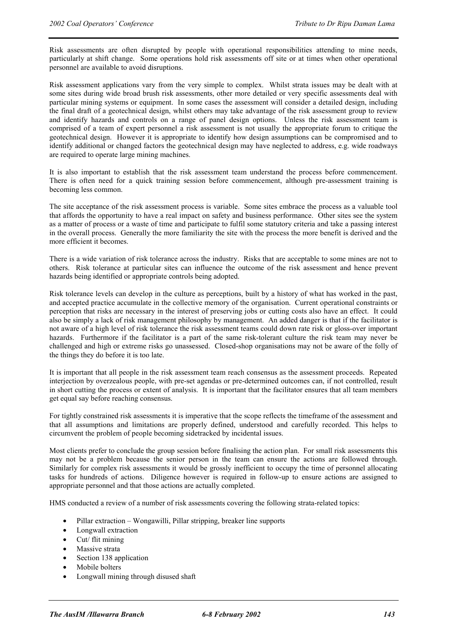Risk assessments are often disrupted by people with operational responsibilities attending to mine needs, particularly at shift change. Some operations hold risk assessments off site or at times when other operational personnel are available to avoid disruptions.

Risk assessment applications vary from the very simple to complex. Whilst strata issues may be dealt with at some sites during wide broad brush risk assessments, other more detailed or very specific assessments deal with particular mining systems or equipment. In some cases the assessment will consider a detailed design, including the final draft of a geotechnical design, whilst others may take advantage of the risk assessment group to review and identify hazards and controls on a range of panel design options. Unless the risk assessment team is comprised of a team of expert personnel a risk assessment is not usually the appropriate forum to critique the geotechnical design. However it is appropriate to identify how design assumptions can be compromised and to identify additional or changed factors the geotechnical design may have neglected to address, e.g. wide roadways are required to operate large mining machines.

It is also important to establish that the risk assessment team understand the process before commencement. There is often need for a quick training session before commencement, although pre-assessment training is becoming less common.

The site acceptance of the risk assessment process is variable. Some sites embrace the process as a valuable tool that affords the opportunity to have a real impact on safety and business performance. Other sites see the system as a matter of process or a waste of time and participate to fulfil some statutory criteria and take a passing interest in the overall process. Generally the more familiarity the site with the process the more benefit is derived and the more efficient it becomes.

There is a wide variation of risk tolerance across the industry. Risks that are acceptable to some mines are not to others. Risk tolerance at particular sites can influence the outcome of the risk assessment and hence prevent hazards being identified or appropriate controls being adopted.

Risk tolerance levels can develop in the culture as perceptions, built by a history of what has worked in the past, and accepted practice accumulate in the collective memory of the organisation. Current operational constraints or perception that risks are necessary in the interest of preserving jobs or cutting costs also have an effect. It could also be simply a lack of risk management philosophy by management. An added danger is that if the facilitator is not aware of a high level of risk tolerance the risk assessment teams could down rate risk or gloss-over important hazards. Furthermore if the facilitator is a part of the same risk-tolerant culture the risk team may never be challenged and high or extreme risks go unassessed. Closed-shop organisations may not be aware of the folly of the things they do before it is too late.

It is important that all people in the risk assessment team reach consensus as the assessment proceeds. Repeated interjection by overzealous people, with pre-set agendas or pre-determined outcomes can, if not controlled, result in short cutting the process or extent of analysis. It is important that the facilitator ensures that all team members get equal say before reaching consensus.

For tightly constrained risk assessments it is imperative that the scope reflects the timeframe of the assessment and that all assumptions and limitations are properly defined, understood and carefully recorded. This helps to circumvent the problem of people becoming sidetracked by incidental issues.

Most clients prefer to conclude the group session before finalising the action plan. For small risk assessments this may not be a problem because the senior person in the team can ensure the actions are followed through. Similarly for complex risk assessments it would be grossly inefficient to occupy the time of personnel allocating tasks for hundreds of actions. Diligence however is required in follow-up to ensure actions are assigned to appropriate personnel and that those actions are actually completed.

HMS conducted a review of a number of risk assessments covering the following strata-related topics:

- Pillar extraction Wongawilli, Pillar stripping, breaker line supports
- Longwall extraction
- Cut/ flit mining
- Massive strata
- Section 138 application
- Mobile bolters
- Longwall mining through disused shaft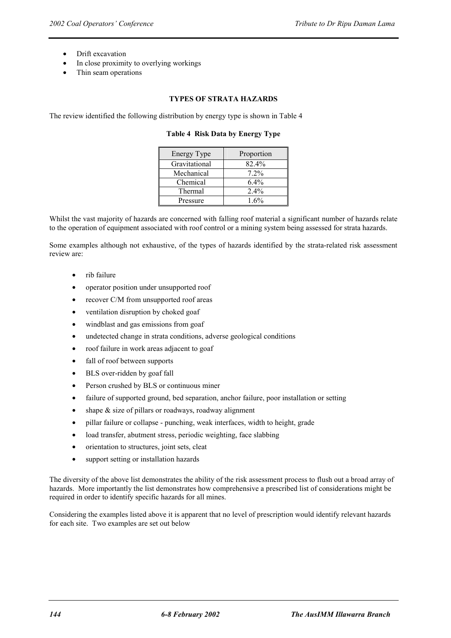- Drift excavation
- In close proximity to overlying workings
- Thin seam operations

# **TYPES OF STRATA HAZARDS**

The review identified the following distribution by energy type is shown in Table 4

#### **Table 4 Risk Data by Energy Type**

| Energy Type   | Proportion |
|---------------|------------|
| Gravitational | 82.4%      |
| Mechanical    | $7.2\%$    |
| Chemical      | $6.4\%$    |
| Thermal       | 2.4%       |
| Pressure      | $1.6\%$    |

Whilst the vast majority of hazards are concerned with falling roof material a significant number of hazards relate to the operation of equipment associated with roof control or a mining system being assessed for strata hazards.

Some examples although not exhaustive, of the types of hazards identified by the strata-related risk assessment review are:

- rib failure
- operator position under unsupported roof
- recover C/M from unsupported roof areas
- ventilation disruption by choked goaf
- windblast and gas emissions from goaf
- undetected change in strata conditions, adverse geological conditions
- roof failure in work areas adjacent to goaf
- fall of roof between supports
- BLS over-ridden by goaf fall
- Person crushed by BLS or continuous miner
- failure of supported ground, bed separation, anchor failure, poor installation or setting
- shape  $\&$  size of pillars or roadways, roadway alignment
- pillar failure or collapse punching, weak interfaces, width to height, grade
- load transfer, abutment stress, periodic weighting, face slabbing
- orientation to structures, joint sets, cleat
- support setting or installation hazards

The diversity of the above list demonstrates the ability of the risk assessment process to flush out a broad array of hazards. More importantly the list demonstrates how comprehensive a prescribed list of considerations might be required in order to identify specific hazards for all mines.

Considering the examples listed above it is apparent that no level of prescription would identify relevant hazards for each site. Two examples are set out below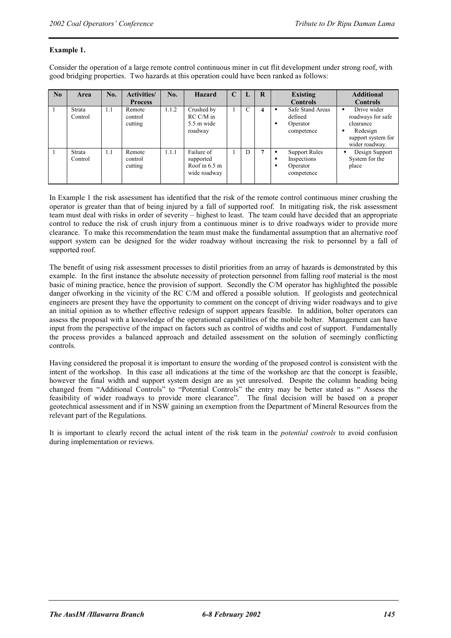# **Example 1.**

Consider the operation of a large remote control continuous miner in cut flit development under strong roof, with good bridging properties. Two hazards at this operation could have been ranked as follows:

| No | Area              | No. | <b>Activities/</b><br><b>Process</b> | No.   | <b>Hazard</b>                                                      | C | ы | R | <b>Existing</b><br><b>Controls</b>                                           | <b>Additional</b><br><b>Controls</b>                                                              |
|----|-------------------|-----|--------------------------------------|-------|--------------------------------------------------------------------|---|---|---|------------------------------------------------------------------------------|---------------------------------------------------------------------------------------------------|
|    | Strata<br>Control | 1.1 | Remote<br>control<br>cutting         | 1.1.2 | Crushed by<br>$RC C/M$ in<br>5.5 m wide<br>roadway                 |   | C | 4 | Safe Stand Areas<br>٠<br>defined<br>Operator<br>٠<br>competence              | Drive wider<br>roadways for safe<br>clearance<br>Redesign<br>support system for<br>wider roadway. |
|    | Strata<br>Control | 1.1 | Remote<br>control<br>cutting         | 1.1.1 | Failure of<br>supported<br>Roof in $6.5 \text{ m}$<br>wide roadway |   | D | π | <b>Support Rules</b><br>٠<br>Inspections<br>п<br>Operator<br>٠<br>competence | Design Support<br>System for the<br>place                                                         |

In Example 1 the risk assessment has identified that the risk of the remote control continuous miner crushing the operator is greater than that of being injured by a fall of supported roof. In mitigating risk, the risk assessment team must deal with risks in order of severity – highest to least. The team could have decided that an appropriate control to reduce the risk of crush injury from a continuous miner is to drive roadways wider to provide more clearance. To make this recommendation the team must make the fundamental assumption that an alternative roof support system can be designed for the wider roadway without increasing the risk to personnel by a fall of supported roof.

The benefit of using risk assessment processes to distil priorities from an array of hazards is demonstrated by this example. In the first instance the absolute necessity of protection personnel from falling roof material is the most basic of mining practice, hence the provision of support. Secondly the C/M operator has highlighted the possible danger ofworking in the vicinity of the RC C/M and offered a possible solution. If geologists and geotechnical engineers are present they have the opportunity to comment on the concept of driving wider roadways and to give an initial opinion as to whether effective redesign of support appears feasible. In addition, bolter operators can assess the proposal with a knowledge of the operational capabilities of the mobile bolter. Management can have input from the perspective of the impact on factors such as control of widths and cost of support. Fundamentally the process provides a balanced approach and detailed assessment on the solution of seemingly conflicting controls.

Having considered the proposal it is important to ensure the wording of the proposed control is consistent with the intent of the workshop. In this case all indications at the time of the workshop are that the concept is feasible, however the final width and support system design are as yet unresolved. Despite the column heading being changed from "Additional Controls" to "Potential Controls" the entry may be better stated as " Assess the feasibility of wider roadways to provide more clearance". The final decision will be based on a proper geotechnical assessment and if in NSW gaining an exemption from the Department of Mineral Resources from the relevant part of the Regulations.

It is important to clearly record the actual intent of the risk team in the *potential controls* to avoid confusion during implementation or reviews.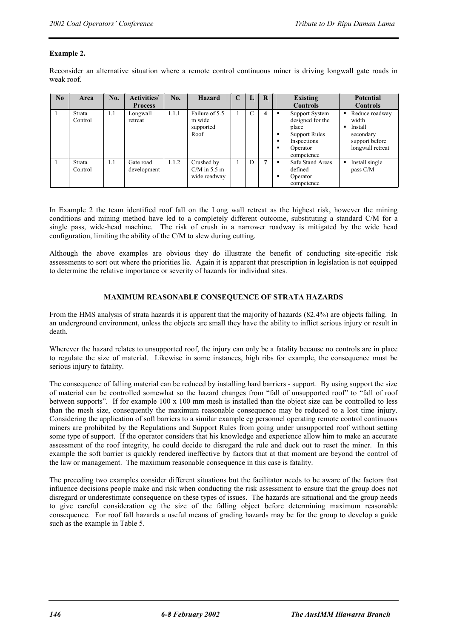# **Example 2.**

Reconsider an alternative situation where a remote control continuous miner is driving longwall gate roads in weak roof.

| No | Area              | No. | <b>Activities/</b>       | No.   | Hazard                                        | $\mathbf C$ | L | $\mathbf R$ | Existing                                                                                                               | <b>Potential</b>                                                                                |
|----|-------------------|-----|--------------------------|-------|-----------------------------------------------|-------------|---|-------------|------------------------------------------------------------------------------------------------------------------------|-------------------------------------------------------------------------------------------------|
|    |                   |     | <b>Process</b>           |       |                                               |             |   |             | <b>Controls</b>                                                                                                        | <b>Controls</b>                                                                                 |
|    | Strata<br>Control | 1.1 | Longwall<br>retreat      | 1.1.1 | Failure of 5.5<br>m wide<br>supported<br>Roof |             | C | 4           | Support System<br>designed for the<br>place<br><b>Support Rules</b><br>п<br>Inspections<br>Operator<br>п<br>competence | Reduce roadway<br>٠<br>width<br>Install<br>▪<br>secondary<br>support before<br>longwall retreat |
|    | Strata<br>Control | 1.1 | Gate road<br>development | 1.1.2 | Crushed by<br>$CM$ in 5.5 m<br>wide roadway   |             | D | 7           | Safe Stand Areas<br>п<br>defined<br>Operator<br>п<br>competence                                                        | Install single<br>pass C/M                                                                      |

In Example 2 the team identified roof fall on the Long wall retreat as the highest risk, however the mining conditions and mining method have led to a completely different outcome, substituting a standard C/M for a single pass, wide-head machine. The risk of crush in a narrower roadway is mitigated by the wide head configuration, limiting the ability of the C/M to slew during cutting.

Although the above examples are obvious they do illustrate the benefit of conducting site-specific risk assessments to sort out where the priorities lie. Again it is apparent that prescription in legislation is not equipped to determine the relative importance or severity of hazards for individual sites.

# **MAXIMUM REASONABLE CONSEQUENCE OF STRATA HAZARDS**

From the HMS analysis of strata hazards it is apparent that the majority of hazards (82.4%) are objects falling. In an underground environment, unless the objects are small they have the ability to inflict serious injury or result in death.

Wherever the hazard relates to unsupported roof, the injury can only be a fatality because no controls are in place to regulate the size of material. Likewise in some instances, high ribs for example, the consequence must be serious injury to fatality.

The consequence of falling material can be reduced by installing hard barriers - support. By using support the size of material can be controlled somewhat so the hazard changes from "fall of unsupported roof" to "fall of roof between supports". If for example 100 x 100 mm mesh is installed than the object size can be controlled to less than the mesh size, consequently the maximum reasonable consequence may be reduced to a lost time injury. Considering the application of soft barriers to a similar example eg personnel operating remote control continuous miners are prohibited by the Regulations and Support Rules from going under unsupported roof without setting some type of support. If the operator considers that his knowledge and experience allow him to make an accurate assessment of the roof integrity, he could decide to disregard the rule and duck out to reset the miner. In this example the soft barrier is quickly rendered ineffective by factors that at that moment are beyond the control of the law or management. The maximum reasonable consequence in this case is fatality.

The preceding two examples consider different situations but the facilitator needs to be aware of the factors that influence decisions people make and risk when conducting the risk assessment to ensure that the group does not disregard or underestimate consequence on these types of issues. The hazards are situational and the group needs to give careful consideration eg the size of the falling object before determining maximum reasonable consequence. For roof fall hazards a useful means of grading hazards may be for the group to develop a guide such as the example in Table 5.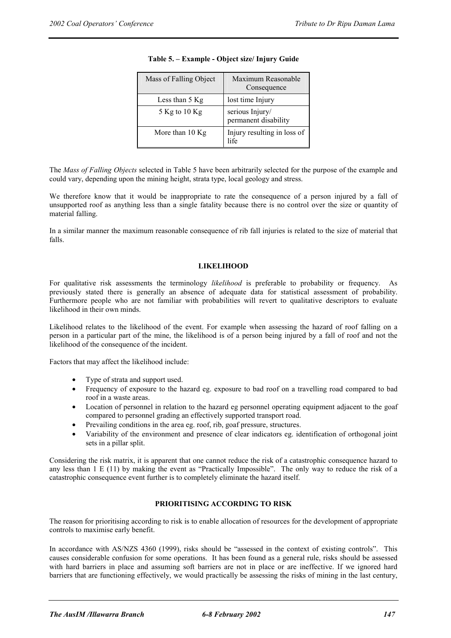| Mass of Falling Object | Maximum Reasonable<br>Consequence       |
|------------------------|-----------------------------------------|
| Less than 5 Kg         | lost time Injury                        |
| 5 Kg to 10 Kg          | serious Injury/<br>permanent disability |
| More than 10 Kg        | Injury resulting in loss of<br>life     |

# **Table 5. – Example - Object size/ Injury Guide**

The *Mass of Falling Objects* selected in Table 5 have been arbitrarily selected for the purpose of the example and could vary, depending upon the mining height, strata type, local geology and stress.

We therefore know that it would be inappropriate to rate the consequence of a person injured by a fall of unsupported roof as anything less than a single fatality because there is no control over the size or quantity of material falling.

In a similar manner the maximum reasonable consequence of rib fall injuries is related to the size of material that falls.

# **LIKELIHOOD**

For qualitative risk assessments the terminology *likelihood* is preferable to probability or frequency. As previously stated there is generally an absence of adequate data for statistical assessment of probability. Furthermore people who are not familiar with probabilities will revert to qualitative descriptors to evaluate likelihood in their own minds.

Likelihood relates to the likelihood of the event. For example when assessing the hazard of roof falling on a person in a particular part of the mine, the likelihood is of a person being injured by a fall of roof and not the likelihood of the consequence of the incident.

Factors that may affect the likelihood include:

- Type of strata and support used.
- Frequency of exposure to the hazard eg. exposure to bad roof on a travelling road compared to bad roof in a waste areas.
- Location of personnel in relation to the hazard eg personnel operating equipment adjacent to the goaf compared to personnel grading an effectively supported transport road.
- Prevailing conditions in the area eg. roof, rib, goaf pressure, structures.
- Variability of the environment and presence of clear indicators eg. identification of orthogonal joint sets in a pillar split.

Considering the risk matrix, it is apparent that one cannot reduce the risk of a catastrophic consequence hazard to any less than 1 E (11) by making the event as "Practically Impossible". The only way to reduce the risk of a catastrophic consequence event further is to completely eliminate the hazard itself.

# **PRIORITISING ACCORDING TO RISK**

The reason for prioritising according to risk is to enable allocation of resources for the development of appropriate controls to maximise early benefit.

In accordance with AS/NZS 4360 (1999), risks should be "assessed in the context of existing controls". This causes considerable confusion for some operations. It has been found as a general rule, risks should be assessed with hard barriers in place and assuming soft barriers are not in place or are ineffective. If we ignored hard barriers that are functioning effectively, we would practically be assessing the risks of mining in the last century,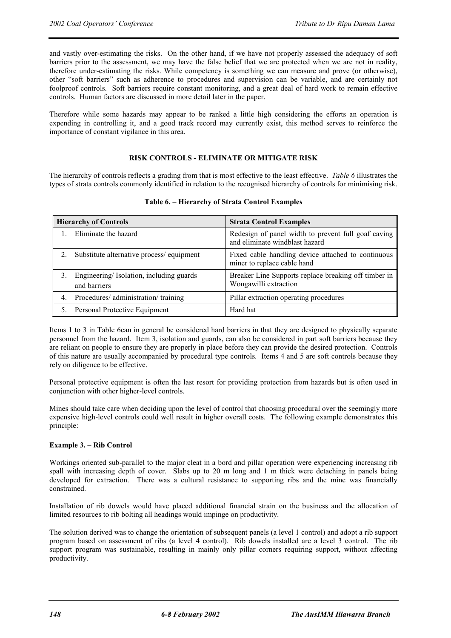and vastly over-estimating the risks. On the other hand, if we have not properly assessed the adequacy of soft barriers prior to the assessment, we may have the false belief that we are protected when we are not in reality, therefore under-estimating the risks. While competency is something we can measure and prove (or otherwise), other "soft barriers" such as adherence to procedures and supervision can be variable, and are certainly not foolproof controls. Soft barriers require constant monitoring, and a great deal of hard work to remain effective controls. Human factors are discussed in more detail later in the paper.

Therefore while some hazards may appear to be ranked a little high considering the efforts an operation is expending in controlling it, and a good track record may currently exist, this method serves to reinforce the importance of constant vigilance in this area.

# **RISK CONTROLS - ELIMINATE OR MITIGATE RISK**

The hierarchy of controls reflects a grading from that is most effective to the least effective. *Table 6* illustrates the types of strata controls commonly identified in relation to the recognised hierarchy of controls for minimising risk.

| <b>Hierarchy of Controls</b>                            | <b>Strata Control Examples</b>                                                        |
|---------------------------------------------------------|---------------------------------------------------------------------------------------|
| Eliminate the hazard                                    | Redesign of panel width to prevent full goaf caving<br>and eliminate windblast hazard |
| Substitute alternative process/equipment                | Fixed cable handling device attached to continuous<br>miner to replace cable hand     |
| Engineering/Isolation, including guards<br>and barriers | Breaker Line Supports replace breaking off timber in<br>Wongawilli extraction         |
| Procedures/ administration/ training                    | Pillar extraction operating procedures                                                |
| Personal Protective Equipment                           | Hard hat                                                                              |

#### **Table 6. – Hierarchy of Strata Control Examples**

Items 1 to 3 in Table 6can in general be considered hard barriers in that they are designed to physically separate personnel from the hazard. Item 3, isolation and guards, can also be considered in part soft barriers because they are reliant on people to ensure they are properly in place before they can provide the desired protection. Controls of this nature are usually accompanied by procedural type controls. Items 4 and 5 are soft controls because they rely on diligence to be effective.

Personal protective equipment is often the last resort for providing protection from hazards but is often used in conjunction with other higher-level controls.

Mines should take care when deciding upon the level of control that choosing procedural over the seemingly more expensive high-level controls could well result in higher overall costs. The following example demonstrates this principle:

#### **Example 3. – Rib Control**

Workings oriented sub-parallel to the major cleat in a bord and pillar operation were experiencing increasing rib spall with increasing depth of cover. Slabs up to 20 m long and 1 m thick were detaching in panels being developed for extraction. There was a cultural resistance to supporting ribs and the mine was financially constrained.

Installation of rib dowels would have placed additional financial strain on the business and the allocation of limited resources to rib bolting all headings would impinge on productivity.

The solution derived was to change the orientation of subsequent panels (a level 1 control) and adopt a rib support program based on assessment of ribs (a level 4 control). Rib dowels installed are a level 3 control. The rib support program was sustainable, resulting in mainly only pillar corners requiring support, without affecting productivity.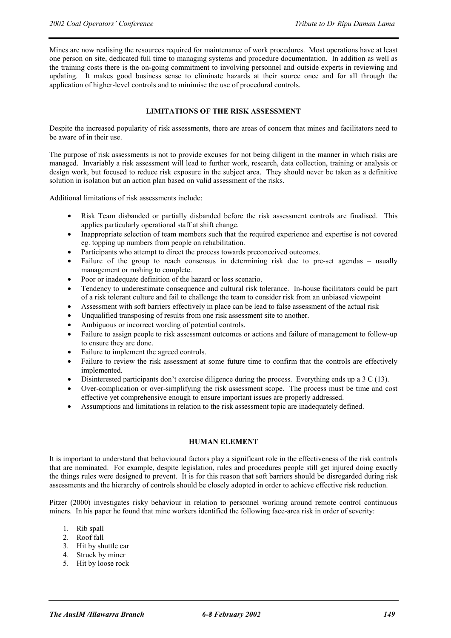Mines are now realising the resources required for maintenance of work procedures. Most operations have at least one person on site, dedicated full time to managing systems and procedure documentation. In addition as well as the training costs there is the on-going commitment to involving personnel and outside experts in reviewing and updating. It makes good business sense to eliminate hazards at their source once and for all through the application of higher-level controls and to minimise the use of procedural controls.

# **LIMITATIONS OF THE RISK ASSESSMENT**

Despite the increased popularity of risk assessments, there are areas of concern that mines and facilitators need to be aware of in their use.

The purpose of risk assessments is not to provide excuses for not being diligent in the manner in which risks are managed. Invariably a risk assessment will lead to further work, research, data collection, training or analysis or design work, but focused to reduce risk exposure in the subject area. They should never be taken as a definitive solution in isolation but an action plan based on valid assessment of the risks.

Additional limitations of risk assessments include:

- Risk Team disbanded or partially disbanded before the risk assessment controls are finalised. This applies particularly operational staff at shift change.
- Inappropriate selection of team members such that the required experience and expertise is not covered eg. topping up numbers from people on rehabilitation.
- Participants who attempt to direct the process towards preconceived outcomes.
- Failure of the group to reach consensus in determining risk due to pre-set agendas usually management or rushing to complete.
- Poor or inadequate definition of the hazard or loss scenario.
- Tendency to underestimate consequence and cultural risk tolerance. In-house facilitators could be part of a risk tolerant culture and fail to challenge the team to consider risk from an unbiased viewpoint
- Assessment with soft barriers effectively in place can be lead to false assessment of the actual risk
- Unqualified transposing of results from one risk assessment site to another.
- Ambiguous or incorrect wording of potential controls.
- Failure to assign people to risk assessment outcomes or actions and failure of management to follow-up to ensure they are done.
- Failure to implement the agreed controls.
- Failure to review the risk assessment at some future time to confirm that the controls are effectively implemented.
- Disinterested participants don't exercise diligence during the process. Everything ends up a 3 C (13).
- Over-complication or over-simplifying the risk assessment scope. The process must be time and cost effective yet comprehensive enough to ensure important issues are properly addressed.
- Assumptions and limitations in relation to the risk assessment topic are inadequately defined.

#### **HUMAN ELEMENT**

It is important to understand that behavioural factors play a significant role in the effectiveness of the risk controls that are nominated. For example, despite legislation, rules and procedures people still get injured doing exactly the things rules were designed to prevent. It is for this reason that soft barriers should be disregarded during risk assessments and the hierarchy of controls should be closely adopted in order to achieve effective risk reduction.

Pitzer (2000) investigates risky behaviour in relation to personnel working around remote control continuous miners. In his paper he found that mine workers identified the following face-area risk in order of severity:

- 1. Rib spall
- 2. Roof fall
- 3. Hit by shuttle car
- 4. Struck by miner
- 5. Hit by loose rock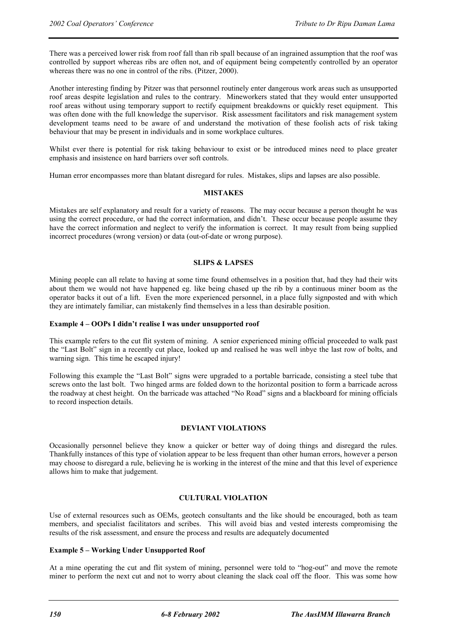There was a perceived lower risk from roof fall than rib spall because of an ingrained assumption that the roof was controlled by support whereas ribs are often not, and of equipment being competently controlled by an operator whereas there was no one in control of the ribs. (Pitzer, 2000).

Another interesting finding by Pitzer was that personnel routinely enter dangerous work areas such as unsupported roof areas despite legislation and rules to the contrary. Mineworkers stated that they would enter unsupported roof areas without using temporary support to rectify equipment breakdowns or quickly reset equipment. This was often done with the full knowledge the supervisor. Risk assessment facilitators and risk management system development teams need to be aware of and understand the motivation of these foolish acts of risk taking behaviour that may be present in individuals and in some workplace cultures.

Whilst ever there is potential for risk taking behaviour to exist or be introduced mines need to place greater emphasis and insistence on hard barriers over soft controls.

Human error encompasses more than blatant disregard for rules. Mistakes, slips and lapses are also possible.

#### **MISTAKES**

Mistakes are self explanatory and result for a variety of reasons. The may occur because a person thought he was using the correct procedure, or had the correct information, and didn't. These occur because people assume they have the correct information and neglect to verify the information is correct. It may result from being supplied incorrect procedures (wrong version) or data (out-of-date or wrong purpose).

# **SLIPS & LAPSES**

Mining people can all relate to having at some time found othemselves in a position that, had they had their wits about them we would not have happened eg. like being chased up the rib by a continuous miner boom as the operator backs it out of a lift. Even the more experienced personnel, in a place fully signposted and with which they are intimately familiar, can mistakenly find themselves in a less than desirable position.

#### **Example 4 – OOPs I didn't realise I was under unsupported roof**

This example refers to the cut flit system of mining. A senior experienced mining official proceeded to walk past the "Last Bolt" sign in a recently cut place, looked up and realised he was well inbye the last row of bolts, and warning sign. This time he escaped injury!

Following this example the "Last Bolt" signs were upgraded to a portable barricade, consisting a steel tube that screws onto the last bolt. Two hinged arms are folded down to the horizontal position to form a barricade across the roadway at chest height. On the barricade was attached "No Road" signs and a blackboard for mining officials to record inspection details.

# **DEVIANT VIOLATIONS**

Occasionally personnel believe they know a quicker or better way of doing things and disregard the rules. Thankfully instances of this type of violation appear to be less frequent than other human errors, however a person may choose to disregard a rule, believing he is working in the interest of the mine and that this level of experience allows him to make that judgement.

# **CULTURAL VIOLATION**

Use of external resources such as OEMs, geotech consultants and the like should be encouraged, both as team members, and specialist facilitators and scribes. This will avoid bias and vested interests compromising the results of the risk assessment, and ensure the process and results are adequately documented

#### **Example 5 – Working Under Unsupported Roof**

At a mine operating the cut and flit system of mining, personnel were told to "hog-out" and move the remote miner to perform the next cut and not to worry about cleaning the slack coal off the floor. This was some how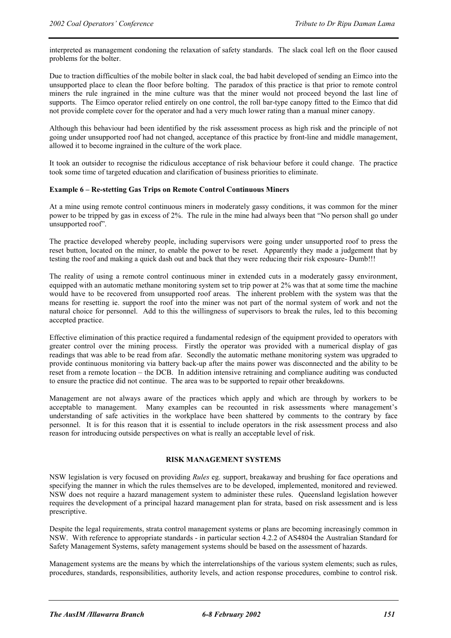interpreted as management condoning the relaxation of safety standards. The slack coal left on the floor caused problems for the bolter.

Due to traction difficulties of the mobile bolter in slack coal, the bad habit developed of sending an Eimco into the unsupported place to clean the floor before bolting. The paradox of this practice is that prior to remote control miners the rule ingrained in the mine culture was that the miner would not proceed beyond the last line of supports. The Eimco operator relied entirely on one control, the roll bar-type canopy fitted to the Eimco that did not provide complete cover for the operator and had a very much lower rating than a manual miner canopy.

Although this behaviour had been identified by the risk assessment process as high risk and the principle of not going under unsupported roof had not changed, acceptance of this practice by front-line and middle management, allowed it to become ingrained in the culture of the work place.

It took an outsider to recognise the ridiculous acceptance of risk behaviour before it could change. The practice took some time of targeted education and clarification of business priorities to eliminate.

#### **Example 6 – Re-stetting Gas Trips on Remote Control Continuous Miners**

At a mine using remote control continuous miners in moderately gassy conditions, it was common for the miner power to be tripped by gas in excess of 2%. The rule in the mine had always been that "No person shall go under unsupported roof".

The practice developed whereby people, including supervisors were going under unsupported roof to press the reset button, located on the miner, to enable the power to be reset. Apparently they made a judgement that by testing the roof and making a quick dash out and back that they were reducing their risk exposure- Dumb!!!

The reality of using a remote control continuous miner in extended cuts in a moderately gassy environment, equipped with an automatic methane monitoring system set to trip power at 2% was that at some time the machine would have to be recovered from unsupported roof areas. The inherent problem with the system was that the means for resetting ie. support the roof into the miner was not part of the normal system of work and not the natural choice for personnel. Add to this the willingness of supervisors to break the rules, led to this becoming accepted practice.

Effective elimination of this practice required a fundamental redesign of the equipment provided to operators with greater control over the mining process. Firstly the operator was provided with a numerical display of gas readings that was able to be read from afar. Secondly the automatic methane monitoring system was upgraded to provide continuous monitoring via battery back-up after the mains power was disconnected and the ability to be reset from a remote location – the DCB. In addition intensive retraining and compliance auditing was conducted to ensure the practice did not continue. The area was to be supported to repair other breakdowns.

Management are not always aware of the practices which apply and which are through by workers to be acceptable to management. Many examples can be recounted in risk assessments where management's understanding of safe activities in the workplace have been shattered by comments to the contrary by face personnel. It is for this reason that it is essential to include operators in the risk assessment process and also reason for introducing outside perspectives on what is really an acceptable level of risk.

#### **RISK MANAGEMENT SYSTEMS**

NSW legislation is very focused on providing *Rules* eg. support, breakaway and brushing for face operations and specifying the manner in which the rules themselves are to be developed, implemented, monitored and reviewed. NSW does not require a hazard management system to administer these rules. Queensland legislation however requires the development of a principal hazard management plan for strata, based on risk assessment and is less prescriptive.

Despite the legal requirements, strata control management systems or plans are becoming increasingly common in NSW. With reference to appropriate standards - in particular section 4.2.2 of AS4804 the Australian Standard for Safety Management Systems, safety management systems should be based on the assessment of hazards.

Management systems are the means by which the interrelationships of the various system elements; such as rules, procedures, standards, responsibilities, authority levels, and action response procedures, combine to control risk.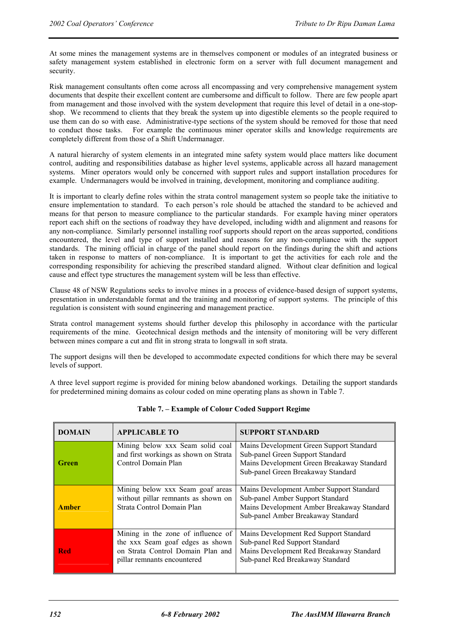At some mines the management systems are in themselves component or modules of an integrated business or safety management system established in electronic form on a server with full document management and security.

Risk management consultants often come across all encompassing and very comprehensive management system documents that despite their excellent content are cumbersome and difficult to follow. There are few people apart from management and those involved with the system development that require this level of detail in a one-stopshop. We recommend to clients that they break the system up into digestible elements so the people required to use them can do so with ease. Administrative-type sections of the system should be removed for those that need to conduct those tasks. For example the continuous miner operator skills and knowledge requirements are completely different from those of a Shift Undermanager.

A natural hierarchy of system elements in an integrated mine safety system would place matters like document control, auditing and responsibilities database as higher level systems, applicable across all hazard management systems. Miner operators would only be concerned with support rules and support installation procedures for example. Undermanagers would be involved in training, development, monitoring and compliance auditing.

It is important to clearly define roles within the strata control management system so people take the initiative to ensure implementation to standard. To each person's role should be attached the standard to be achieved and means for that person to measure compliance to the particular standards. For example having miner operators report each shift on the sections of roadway they have developed, including width and alignment and reasons for any non-compliance. Similarly personnel installing roof supports should report on the areas supported, conditions encountered, the level and type of support installed and reasons for any non-compliance with the support standards. The mining official in charge of the panel should report on the findings during the shift and actions taken in response to matters of non-compliance. It is important to get the activities for each role and the corresponding responsibility for achieving the prescribed standard aligned. Without clear definition and logical cause and effect type structures the management system will be less than effective.

Clause 48 of NSW Regulations seeks to involve mines in a process of evidence-based design of support systems, presentation in understandable format and the training and monitoring of support systems. The principle of this regulation is consistent with sound engineering and management practice.

Strata control management systems should further develop this philosophy in accordance with the particular requirements of the mine. Geotechnical design methods and the intensity of monitoring will be very different between mines compare a cut and flit in strong strata to longwall in soft strata.

The support designs will then be developed to accommodate expected conditions for which there may be several levels of support.

A three level support regime is provided for mining below abandoned workings. Detailing the support standards for predetermined mining domains as colour coded on mine operating plans as shown in Table 7.

| <b>DOMAIN</b> | <b>APPLICABLE TO</b>                                                                                                                       | <b>SUPPORT STANDARD</b>                                                                                                                                          |
|---------------|--------------------------------------------------------------------------------------------------------------------------------------------|------------------------------------------------------------------------------------------------------------------------------------------------------------------|
| Green         | Mining below xxx Seam solid coal<br>and first workings as shown on Strata<br>Control Domain Plan                                           | Mains Development Green Support Standard<br>Sub-panel Green Support Standard<br>Mains Development Green Breakaway Standard<br>Sub-panel Green Breakaway Standard |
| <b>Amber</b>  | Mining below xxx Seam goaf areas<br>without pillar remnants as shown on<br>Strata Control Domain Plan                                      | Mains Development Amber Support Standard<br>Sub-panel Amber Support Standard<br>Mains Development Amber Breakaway Standard<br>Sub-panel Amber Breakaway Standard |
| <b>Red</b>    | Mining in the zone of influence of<br>the xxx Seam goaf edges as shown<br>on Strata Control Domain Plan and<br>pillar remnants encountered | Mains Development Red Support Standard<br>Sub-panel Red Support Standard<br>Mains Development Red Breakaway Standard<br>Sub-panel Red Breakaway Standard         |

**Table 7. – Example of Colour Coded Support Regime**